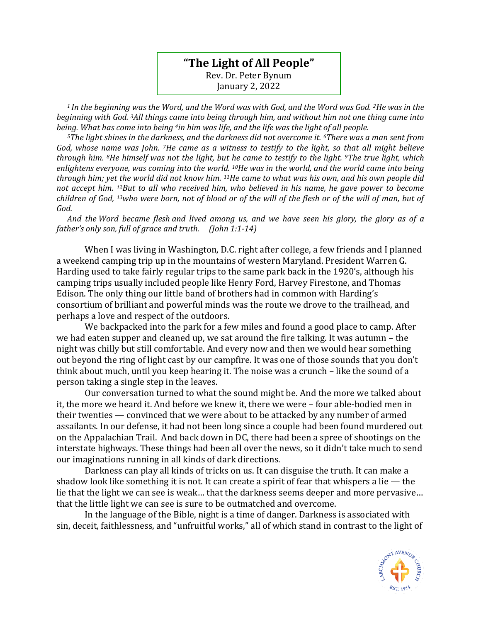## **"The Light of All People"** Rev. Dr. Peter Bynum January 2, 2022

*<sup>1</sup>In the beginning was the Word, and the Word was with God, and the Word was God. 2He was in the beginning with God. 3All things came into being through him, and without him not one thing came into being. What has come into being 4in him was life, and the life was the light of all people.* 

*<sup>5</sup>The light shines in the darkness, and the darkness did not overcome it. 6There was a man sent from God, whose name was John. 7He came as a witness to testify to the light, so that all might believe through him. 8He himself was not the light, but he came to testify to the light. 9The true light, which enlightens everyone, was coming into the world. 10He was in the world, and the world came into being through him; yet the world did not know him. 11He came to what was his own, and his own people did not accept him. 12But to all who received him, who believed in his name, he gave power to become children of God, 13who were born, not of blood or of the will of the flesh or of the will of man, but of God.* 

*And the Word became flesh and lived among us, and we have seen his glory, the glory as of a father's only son, full of grace and truth. (John 1:1-14)*

When I was living in Washington, D.C. right after college, a few friends and I planned a weekend camping trip up in the mountains of western Maryland. President Warren G. Harding used to take fairly regular trips to the same park back in the 1920's, although his camping trips usually included people like Henry Ford, Harvey Firestone, and Thomas Edison. The only thing our little band of brothers had in common with Harding's consortium of brilliant and powerful minds was the route we drove to the trailhead, and perhaps a love and respect of the outdoors.

We backpacked into the park for a few miles and found a good place to camp. After we had eaten supper and cleaned up, we sat around the fire talking. It was autumn – the night was chilly but still comfortable. And every now and then we would hear something out beyond the ring of light cast by our campfire. It was one of those sounds that you don't think about much, until you keep hearing it. The noise was a crunch – like the sound of a person taking a single step in the leaves.

Our conversation turned to what the sound might be. And the more we talked about it, the more we heard it. And before we knew it, there we were – four able-bodied men in their twenties — convinced that we were about to be attacked by any number of armed assailants. In our defense, it had not been long since a couple had been found murdered out on the Appalachian Trail. And back down in DC, there had been a spree of shootings on the interstate highways. These things had been all over the news, so it didn't take much to send our imaginations running in all kinds of dark directions.

Darkness can play all kinds of tricks on us. It can disguise the truth. It can make a shadow look like something it is not. It can create a spirit of fear that whispers a lie — the lie that the light we can see is weak… that the darkness seems deeper and more pervasive… that the little light we can see is sure to be outmatched and overcome.

In the language of the Bible, night is a time of danger. Darkness is associated with sin, deceit, faithlessness, and "unfruitful works," all of which stand in contrast to the light of

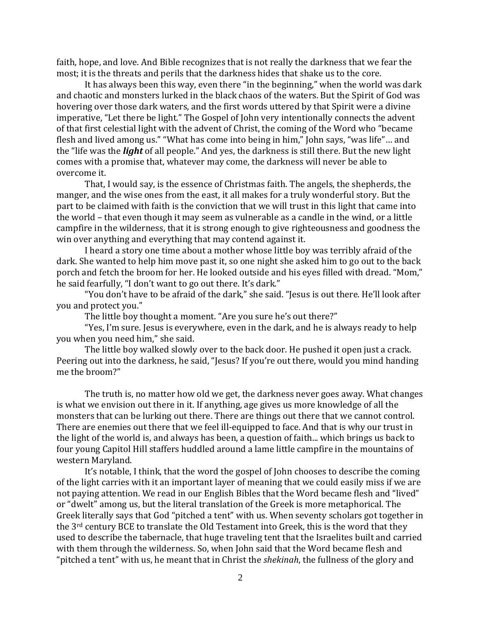faith, hope, and love. And Bible recognizes that is not really the darkness that we fear the most; it is the threats and perils that the darkness hides that shake us to the core.

It has always been this way, even there "in the beginning," when the world was dark and chaotic and monsters lurked in the black chaos of the waters. But the Spirit of God was hovering over those dark waters, and the first words uttered by that Spirit were a divine imperative, "Let there be light." The Gospel of John very intentionally connects the advent of that first celestial light with the advent of Christ, the coming of the Word who "became flesh and lived among us." "What has come into being in him," John says, "was life"… and the "life was the *light* of all people." And yes, the darkness is still there. But the new light comes with a promise that, whatever may come, the darkness will never be able to overcome it.

That, I would say, is the essence of Christmas faith. The angels, the shepherds, the manger, and the wise ones from the east, it all makes for a truly wonderful story. But the part to be claimed with faith is the conviction that we will trust in this light that came into the world – that even though it may seem as vulnerable as a candle in the wind, or a little campfire in the wilderness, that it is strong enough to give righteousness and goodness the win over anything and everything that may contend against it.

I heard a story one time about a mother whose little boy was terribly afraid of the dark. She wanted to help him move past it, so one night she asked him to go out to the back porch and fetch the broom for her. He looked outside and his eyes filled with dread. "Mom," he said fearfully, "I don't want to go out there. It's dark."

"You don't have to be afraid of the dark," she said. "Jesus is out there. He'll look after you and protect you."

The little boy thought a moment. "Are you sure he's out there?"

"Yes, I'm sure. Jesus is everywhere, even in the dark, and he is always ready to help you when you need him," she said.

The little boy walked slowly over to the back door. He pushed it open just a crack. Peering out into the darkness, he said, "Jesus? If you're out there, would you mind handing me the broom?"

The truth is, no matter how old we get, the darkness never goes away. What changes is what we envision out there in it. If anything, age gives us more knowledge of all the monsters that can be lurking out there. There are things out there that we cannot control. There are enemies out there that we feel ill-equipped to face. And that is why our trust in the light of the world is, and always has been, a question of faith... which brings us back to four young Capitol Hill staffers huddled around a lame little campfire in the mountains of western Maryland.

It's notable, I think, that the word the gospel of John chooses to describe the coming of the light carries with it an important layer of meaning that we could easily miss if we are not paying attention. We read in our English Bibles that the Word became flesh and "lived" or "dwelt" among us, but the literal translation of the Greek is more metaphorical. The Greek literally says that God "pitched a tent" with us. When seventy scholars got together in the 3rd century BCE to translate the Old Testament into Greek, this is the word that they used to describe the tabernacle, that huge traveling tent that the Israelites built and carried with them through the wilderness. So, when John said that the Word became flesh and "pitched a tent" with us, he meant that in Christ the *shekinah*, the fullness of the glory and